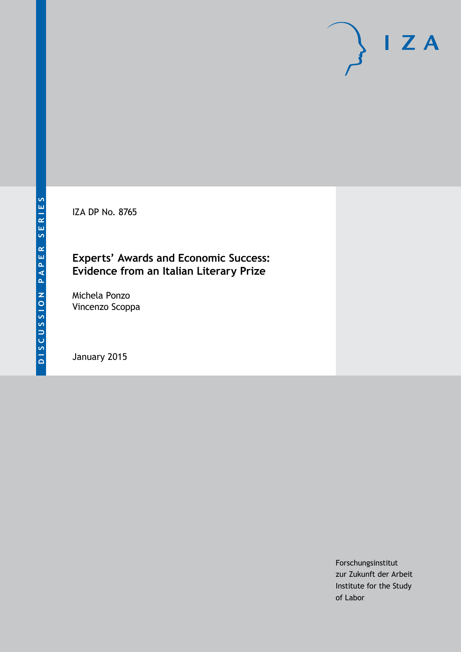IZA DP No. 8765

## **Experts' Awards and Economic Success: Evidence from an Italian Literary Prize**

Michela Ponzo Vincenzo Scoppa

January 2015

Forschungsinstitut zur Zukunft der Arbeit Institute for the Study of Labor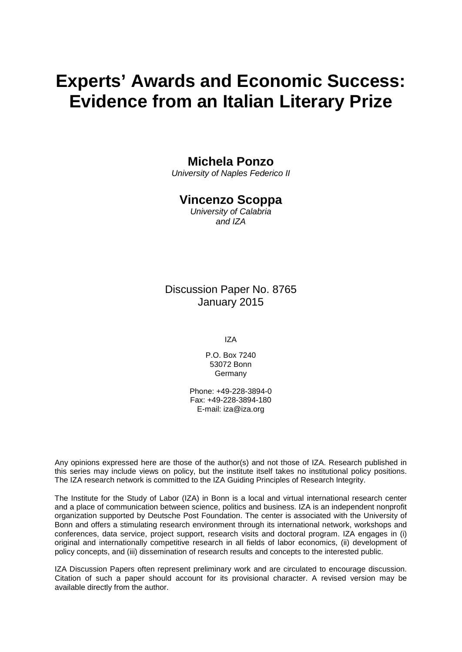# **Experts' Awards and Economic Success: Evidence from an Italian Literary Prize**

## **Michela Ponzo**

*University of Naples Federico II*

## **Vincenzo Scoppa**

*University of Calabria and IZA*

## Discussion Paper No. 8765 January 2015

IZA

P.O. Box 7240 53072 Bonn Germany

Phone: +49-228-3894-0 Fax: +49-228-3894-180 E-mail: [iza@iza.org](mailto:iza@iza.org)

Any opinions expressed here are those of the author(s) and not those of IZA. Research published in this series may include views on policy, but the institute itself takes no institutional policy positions. The IZA research network is committed to the IZA Guiding Principles of Research Integrity.

The Institute for the Study of Labor (IZA) in Bonn is a local and virtual international research center and a place of communication between science, politics and business. IZA is an independent nonprofit organization supported by Deutsche Post Foundation. The center is associated with the University of Bonn and offers a stimulating research environment through its international network, workshops and conferences, data service, project support, research visits and doctoral program. IZA engages in (i) original and internationally competitive research in all fields of labor economics, (ii) development of policy concepts, and (iii) dissemination of research results and concepts to the interested public.

IZA Discussion Papers often represent preliminary work and are circulated to encourage discussion. Citation of such a paper should account for its provisional character. A revised version may be available directly from the author.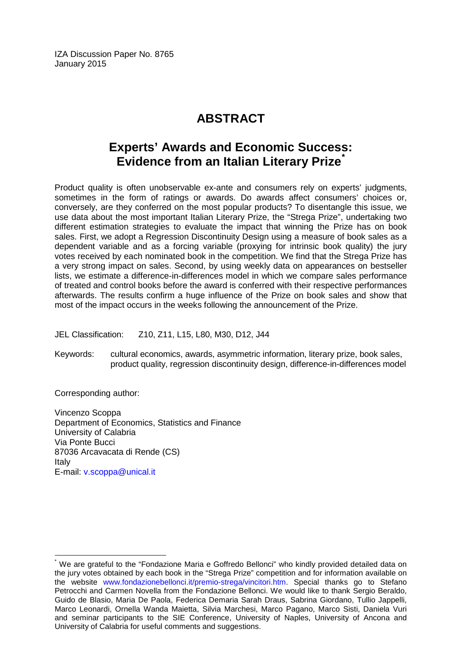IZA Discussion Paper No. 8765 January 2015

## **ABSTRACT**

## **Experts' Awards and Economic Success: Evidence from an Italian Literary Prize[\\*](#page-2-0)**

Product quality is often unobservable ex-ante and consumers rely on experts' judgments, sometimes in the form of ratings or awards. Do awards affect consumers' choices or, conversely, are they conferred on the most popular products? To disentangle this issue, we use data about the most important Italian Literary Prize, the "Strega Prize", undertaking two different estimation strategies to evaluate the impact that winning the Prize has on book sales. First, we adopt a Regression Discontinuity Design using a measure of book sales as a dependent variable and as a forcing variable (proxying for intrinsic book quality) the jury votes received by each nominated book in the competition. We find that the Strega Prize has a very strong impact on sales. Second, by using weekly data on appearances on bestseller lists, we estimate a difference-in-differences model in which we compare sales performance of treated and control books before the award is conferred with their respective performances afterwards. The results confirm a huge influence of the Prize on book sales and show that most of the impact occurs in the weeks following the announcement of the Prize.

JEL Classification: Z10, Z11, L15, L80, M30, D12, J44

Keywords: cultural economics, awards, asymmetric information, literary prize, book sales, product quality, regression discontinuity design, difference-in-differences model

Corresponding author:

Vincenzo Scoppa Department of Economics, Statistics and Finance University of Calabria Via Ponte Bucci 87036 Arcavacata di Rende (CS) Italy E-mail: [v.scoppa@unical.it](mailto:v.scoppa@unical.it)

<span id="page-2-0"></span>We are grateful to the "Fondazione Maria e Goffredo Bellonci" who kindly provided detailed data on the jury votes obtained by each book in the "Strega Prize" competition and for information available on the website [www.fondazionebellonci.it/premio-strega/vincitori.htm.](http://www.fondazionebellonci.it/premio-strega/vincitori.htm) Special thanks go to Stefano Petrocchi and Carmen Novella from the Fondazione Bellonci. We would like to thank Sergio Beraldo, Guido de Blasio, Maria De Paola, Federica Demaria Sarah Draus, Sabrina Giordano, Tullio Jappelli, Marco Leonardi, Ornella Wanda Maietta, Silvia Marchesi, Marco Pagano, Marco Sisti, Daniela Vuri and seminar participants to the SIE Conference, University of Naples, University of Ancona and University of Calabria for useful comments and suggestions.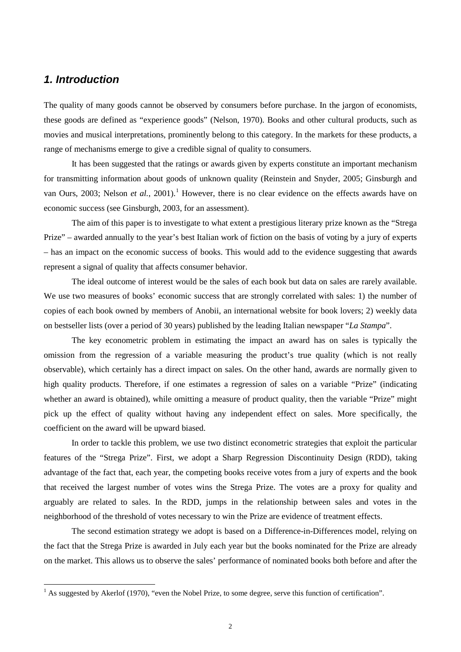## *1. Introduction*

The quality of many goods cannot be observed by consumers before purchase. In the jargon of economists, these goods are defined as "experience goods" (Nelson, 1970). Books and other cultural products, such as movies and musical interpretations, prominently belong to this category. In the markets for these products, a range of mechanisms emerge to give a credible signal of quality to consumers.

It has been suggested that the ratings or awards given by experts constitute an important mechanism for transmitting information about goods of unknown quality (Reinstein and Snyder, 2005; Ginsburgh and van Ours, 2003; Nelson *et al.*, 2001).<sup>1</sup> However, there is no clear evidence on the effects awards have on economic success (see Ginsburgh, 2003, for an assessment).

The aim of this paper is to investigate to what extent a prestigious literary prize known as the "Strega Prize" – awarded annually to the year's best Italian work of fiction on the basis of voting by a jury of experts – has an impact on the economic success of books. This would add to the evidence suggesting that awards represent a signal of quality that affects consumer behavior.

The ideal outcome of interest would be the sales of each book but data on sales are rarely available. We use two measures of books' economic success that are strongly correlated with sales: 1) the number of copies of each book owned by members of Anobii, an international website for book lovers; 2) weekly data on bestseller lists (over a period of 30 years) published by the leading Italian newspaper "*La Stampa*".

The key econometric problem in estimating the impact an award has on sales is typically the omission from the regression of a variable measuring the product's true quality (which is not really observable), which certainly has a direct impact on sales. On the other hand, awards are normally given to high quality products. Therefore, if one estimates a regression of sales on a variable "Prize" (indicating whether an award is obtained), while omitting a measure of product quality, then the variable "Prize" might pick up the effect of quality without having any independent effect on sales. More specifically, the coefficient on the award will be upward biased.

In order to tackle this problem, we use two distinct econometric strategies that exploit the particular features of the "Strega Prize". First, we adopt a Sharp Regression Discontinuity Design (RDD), taking advantage of the fact that, each year, the competing books receive votes from a jury of experts and the book that received the largest number of votes wins the Strega Prize. The votes are a proxy for quality and arguably are related to sales. In the RDD, jumps in the relationship between sales and votes in the neighborhood of the threshold of votes necessary to win the Prize are evidence of treatment effects.

The second estimation strategy we adopt is based on a Difference-in-Differences model, relying on the fact that the Strega Prize is awarded in July each year but the books nominated for the Prize are already on the market. This allows us to observe the sales' performance of nominated books both before and after the

<span id="page-3-0"></span> $1$  As suggested by Akerlof (1970), "even the Nobel Prize, to some degree, serve this function of certification".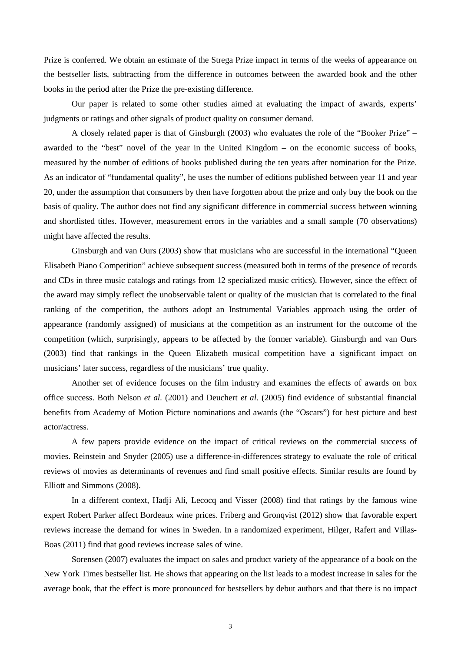Prize is conferred. We obtain an estimate of the Strega Prize impact in terms of the weeks of appearance on the bestseller lists, subtracting from the difference in outcomes between the awarded book and the other books in the period after the Prize the pre-existing difference.

Our paper is related to some other studies aimed at evaluating the impact of awards, experts' judgments or ratings and other signals of product quality on consumer demand.

A closely related paper is that of Ginsburgh (2003) who evaluates the role of the "Booker Prize" – awarded to the "best" novel of the year in the United Kingdom – on the economic success of books, measured by the number of editions of books published during the ten years after nomination for the Prize. As an indicator of "fundamental quality", he uses the number of editions published between year 11 and year 20, under the assumption that consumers by then have forgotten about the prize and only buy the book on the basis of quality. The author does not find any significant difference in commercial success between winning and shortlisted titles. However, measurement errors in the variables and a small sample (70 observations) might have affected the results.

Ginsburgh and van Ours (2003) show that musicians who are successful in the international "Queen Elisabeth Piano Competition" achieve subsequent success (measured both in terms of the presence of records and CDs in three music catalogs and ratings from 12 specialized music critics). However, since the effect of the award may simply reflect the unobservable talent or quality of the musician that is correlated to the final ranking of the competition, the authors adopt an Instrumental Variables approach using the order of appearance (randomly assigned) of musicians at the competition as an instrument for the outcome of the competition (which, surprisingly, appears to be affected by the former variable). Ginsburgh and van Ours (2003) find that rankings in the Queen Elizabeth musical competition have a significant impact on musicians' later success, regardless of the musicians' true quality.

Another set of evidence focuses on the film industry and examines the effects of awards on box office success. Both Nelson *et al.* (2001) and Deuchert *et al.* (2005) find evidence of substantial financial benefits from Academy of Motion Picture nominations and awards (the "Oscars") for best picture and best actor/actress.

A few papers provide evidence on the impact of critical reviews on the commercial success of movies. Reinstein and Snyder (2005) use a difference-in-differences strategy to evaluate the role of critical reviews of movies as determinants of revenues and find small positive effects. Similar results are found by Elliott and Simmons (2008).

In a different context, Hadji Ali, Lecocq and Visser (2008) find that ratings by the famous wine expert Robert Parker affect Bordeaux wine prices. Friberg and Gronqvist (2012) show that favorable expert reviews increase the demand for wines in Sweden. In a randomized experiment, Hilger, Rafert and Villas-Boas (2011) find that good reviews increase sales of wine.

Sorensen (2007) evaluates the impact on sales and product variety of the appearance of a book on the New York Times bestseller list. He shows that appearing on the list leads to a modest increase in sales for the average book, that the effect is more pronounced for bestsellers by debut authors and that there is no impact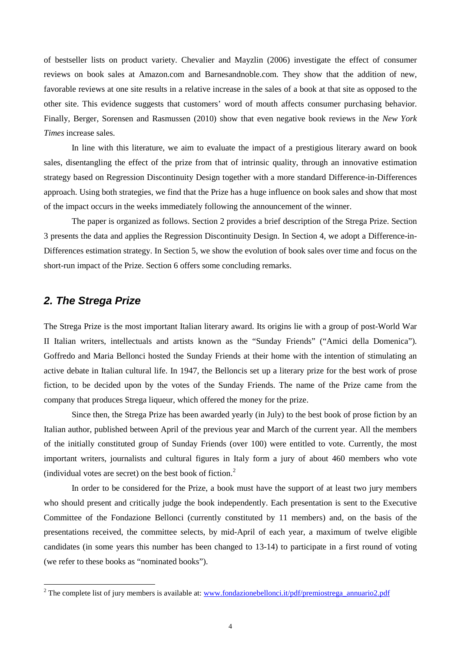of bestseller lists on product variety. Chevalier and Mayzlin (2006) investigate the effect of consumer reviews on book sales at Amazon.com and Barnesandnoble.com. They show that the addition of new, favorable reviews at one site results in a relative increase in the sales of a book at that site as opposed to the other site. This evidence suggests that customers' word of mouth affects consumer purchasing behavior. Finally, Berger, Sorensen and Rasmussen (2010) show that even negative book reviews in the *New York Times* increase sales.

In line with this literature, we aim to evaluate the impact of a prestigious literary award on book sales, disentangling the effect of the prize from that of intrinsic quality, through an innovative estimation strategy based on Regression Discontinuity Design together with a more standard Difference-in-Differences approach. Using both strategies, we find that the Prize has a huge influence on book sales and show that most of the impact occurs in the weeks immediately following the announcement of the winner.

The paper is organized as follows. Section 2 provides a brief description of the Strega Prize. Section 3 presents the data and applies the Regression Discontinuity Design. In Section 4, we adopt a Difference-in-Differences estimation strategy. In Section 5, we show the evolution of book sales over time and focus on the short-run impact of the Prize. Section 6 offers some concluding remarks.

## *2. The Strega Prize*

The Strega Prize is the most important Italian literary award. Its origins lie with a group of post-World War II Italian writers, intellectuals and artists known as the "Sunday Friends" ("Amici della Domenica"). Goffredo and Maria Bellonci hosted the Sunday Friends at their home with the intention of stimulating an active debate in Italian cultural life. In 1947, the Belloncis set up a literary prize for the best work of prose fiction, to be decided upon by the votes of the Sunday Friends. The name of the Prize came from the company that produces Strega liqueur, which offered the money for the prize.

Since then, the Strega Prize has been awarded yearly (in July) to the best book of prose fiction by an Italian author, published between April of the previous year and March of the current year. All the members of the initially constituted group of Sunday Friends (over 100) were entitled to vote. Currently, the most important writers, journalists and cultural figures in Italy form a jury of about 460 members who vote (individual votes are secret) on the best book of fiction. [2](#page-3-0)

In order to be considered for the Prize, a book must have the support of at least two jury members who should present and critically judge the book independently. Each presentation is sent to the Executive Committee of the Fondazione Bellonci (currently constituted by 11 members) and, on the basis of the presentations received, the committee selects, by mid-April of each year, a maximum of twelve eligible candidates (in some years this number has been changed to 13-14) to participate in a first round of voting (we refer to these books as "nominated books").

<span id="page-5-0"></span><sup>&</sup>lt;sup>2</sup> The complete list of jury members is available at: [www.fondazionebellonci.it/pdf/premiostrega\\_annuario2.pdf](http://www.fondazionebellonci.it/pdf/premiostrega_annuario2.pdf)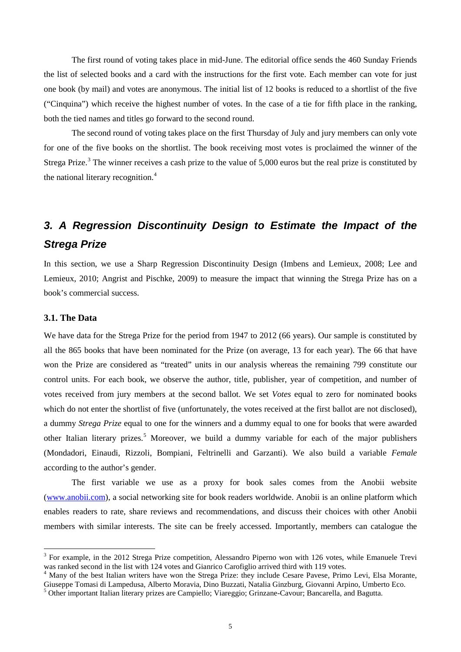The first round of voting takes place in mid-June. The editorial office sends the 460 Sunday Friends the list of selected books and a card with the instructions for the first vote. Each member can vote for just one book (by mail) and votes are anonymous. The initial list of 12 books is reduced to a shortlist of the five ("Cinquina") which receive the highest number of votes. In the case of a tie for fifth place in the ranking, both the tied names and titles go forward to the second round.

The second round of voting takes place on the first Thursday of July and jury members can only vote for one of the five books on the shortlist. The book receiving most votes is proclaimed the winner of the Strega Prize.<sup>[3](#page-5-0)</sup> The winner receives a cash prize to the value of 5,000 euros but the real prize is constituted by the national literary recognition.<sup>[4](#page-6-0)</sup>

## *3. A Regression Discontinuity Design to Estimate the Impact of the Strega Prize*

In this section, we use a Sharp Regression Discontinuity Design (Imbens and Lemieux, 2008; Lee and Lemieux, 2010; Angrist and Pischke, 2009) to measure the impact that winning the Strega Prize has on a book's commercial success.

#### **3.1. The Data**

We have data for the Strega Prize for the period from 1947 to 2012 (66 years). Our sample is constituted by all the 865 books that have been nominated for the Prize (on average, 13 for each year). The 66 that have won the Prize are considered as "treated" units in our analysis whereas the remaining 799 constitute our control units. For each book, we observe the author, title, publisher, year of competition, and number of votes received from jury members at the second ballot. We set *Votes* equal to zero for nominated books which do not enter the shortlist of five (unfortunately, the votes received at the first ballot are not disclosed), a dummy *Strega Prize* equal to one for the winners and a dummy equal to one for books that were awarded other Italian literary prizes.<sup>[5](#page-6-1)</sup> Moreover, we build a dummy variable for each of the major publishers (Mondadori, Einaudi, Rizzoli, Bompiani, Feltrinelli and Garzanti). We also build a variable *Female* according to the author's gender.

The first variable we use as a proxy for book sales comes from the Anobii website [\(www.anobii.com\)](http://www.anobii.com/), a social networking site for book readers worldwide. Anobii is an online platform which enables readers to rate, share reviews and recommendations, and discuss their choices with other Anobii members with similar interests. The site can be freely accessed. Importantly, members can catalogue the

<span id="page-6-2"></span> $3$  For example, in the 2012 Strega Prize competition, Alessandro Piperno won with 126 votes, while Emanuele Trevi was ranked second in the list with 124 votes and Gianrico Carofiglio arrived third with 119 votes.

<span id="page-6-0"></span>Many of the best Italian writers have won the Strega Prize: they include Cesare Pavese, Primo Levi, Elsa Morante, Giuseppe Tomasi di Lampedusa, Alberto Moravia, Dino Buzzati, Natalia Ginzburg, Giovanni Arpino, Umberto Eco.<br><sup>5</sup> Other important Italian literary prizes are Campiello; Viareggio; Grinzane-Cavour; Bancarella, and Bagutta.

<span id="page-6-1"></span>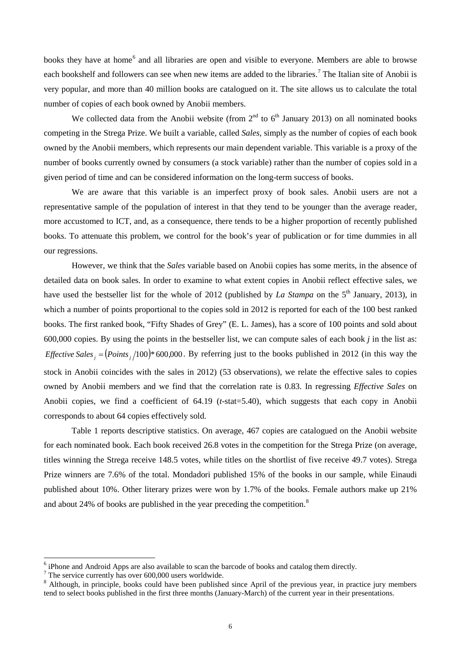books they have at home<sup>[6](#page-6-2)</sup> and all libraries are open and visible to everyone. Members are able to browse each bookshelf and followers can see when new items are added to the libraries.<sup>[7](#page-7-0)</sup> The Italian site of Anobii is very popular, and more than 40 million books are catalogued on it. The site allows us to calculate the total number of copies of each book owned by Anobii members.

We collected data from the Anobii website (from  $2<sup>nd</sup>$  to  $6<sup>th</sup>$  January 2013) on all nominated books competing in the Strega Prize. We built a variable, called *Sales*, simply as the number of copies of each book owned by the Anobii members, which represents our main dependent variable. This variable is a proxy of the number of books currently owned by consumers (a stock variable) rather than the number of copies sold in a given period of time and can be considered information on the long-term success of books.

We are aware that this variable is an imperfect proxy of book sales. Anobii users are not a representative sample of the population of interest in that they tend to be younger than the average reader, more accustomed to ICT, and, as a consequence, there tends to be a higher proportion of recently published books. To attenuate this problem, we control for the book's year of publication or for time dummies in all our regressions.

However, we think that the *Sales* variable based on Anobii copies has some merits, in the absence of detailed data on book sales. In order to examine to what extent copies in Anobii reflect effective sales, we have used the bestseller list for the whole of 2012 (published by *La Stampa* on the 5<sup>th</sup> January, 2013), in which a number of points proportional to the copies sold in 2012 is reported for each of the 100 best ranked books. The first ranked book, "Fifty Shades of Grey" (E. L. James), has a score of 100 points and sold about 600,000 copies. By using the points in the bestseller list, we can compute sales of each book *j* in the list as: *Effective* Sales<sub>i</sub> =  $(Points_i/100)*600,000$ . By referring just to the books published in 2012 (in this way the stock in Anobii coincides with the sales in 2012) (53 observations), we relate the effective sales to copies owned by Anobii members and we find that the correlation rate is 0.83. In regressing *Effective Sales* on Anobii copies, we find a coefficient of 64.19 (*t*-stat=5.40), which suggests that each copy in Anobii corresponds to about 64 copies effectively sold.

Table 1 reports descriptive statistics. On average, 467 copies are catalogued on the Anobii website for each nominated book. Each book received 26.8 votes in the competition for the Strega Prize (on average, titles winning the Strega receive 148.5 votes, while titles on the shortlist of five receive 49.7 votes). Strega Prize winners are 7.6% of the total. Mondadori published 15% of the books in our sample, while Einaudi published about 10%. Other literary prizes were won by 1.7% of the books. Female authors make up 21% and about 24% of books are published in the year preceding the competition.<sup>[8](#page-7-1)</sup>

<span id="page-7-1"></span><span id="page-7-0"></span>

<sup>&</sup>lt;sup>6</sup> iPhone and Android Apps are also available to scan the barcode of books and catalog them directly.<br><sup>7</sup> The service currently has over 600,000 users worldwide.<br><sup>8</sup> Although, in principle, books could have been publishe tend to select books published in the first three months (January-March) of the current year in their presentations.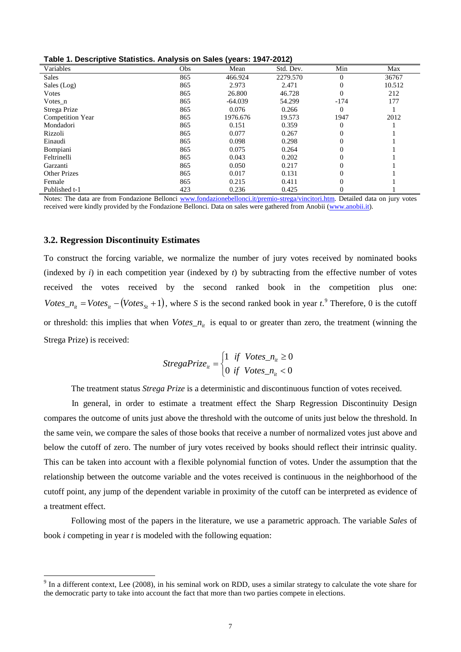| Table 1. Descriptive Statistics. Analysis on Sales (years: 1947-2012) |  |
|-----------------------------------------------------------------------|--|
|-----------------------------------------------------------------------|--|

| . .                     |            | $\cdot$   |           |          |        |
|-------------------------|------------|-----------|-----------|----------|--------|
| Variables               | <b>Obs</b> | Mean      | Std. Dev. | Min      | Max    |
| <b>Sales</b>            | 865        | 466.924   | 2279.570  | $\Omega$ | 36767  |
| Sales (Log)             | 865        | 2.973     | 2.471     | $\Omega$ | 10.512 |
| Votes                   | 865        | 26.800    | 46.728    | $\Omega$ | 212    |
| Votes n                 | 865        | $-64.039$ | 54.299    | $-174$   | 177    |
| Strega Prize            | 865        | 0.076     | 0.266     | $\Omega$ |        |
| <b>Competition Year</b> | 865        | 1976.676  | 19.573    | 1947     | 2012   |
| Mondadori               | 865        | 0.151     | 0.359     | 0        |        |
| Rizzoli                 | 865        | 0.077     | 0.267     | $\Omega$ |        |
| Einaudi                 | 865        | 0.098     | 0.298     | 0        |        |
| Bompiani                | 865        | 0.075     | 0.264     | $\Omega$ |        |
| Feltrinelli             | 865        | 0.043     | 0.202     | $\Omega$ |        |
| Garzanti                | 865        | 0.050     | 0.217     | $\Omega$ |        |
| <b>Other Prizes</b>     | 865        | 0.017     | 0.131     | 0        |        |
| Female                  | 865        | 0.215     | 0.411     | $\Omega$ |        |
| Published t-1           | 423        | 0.236     | 0.425     | 0        |        |

Notes: The data are from Fondazione Bellonci [www.fondazionebellonci.it/premio-strega/vincitori.htm.](http://www.fondazionebellonci.it/premio-strega/vincitori.htm) Detailed data on jury votes received were kindly provided by the Fondazione Bellonci. Data on sales were gathered from Anobii [\(www.anobii.it\)](http://www.anobii.it/).

#### **3.2. Regression Discontinuity Estimates**

To construct the forcing variable, we normalize the number of jury votes received by nominated books (indexed by *i*) in each competition year (indexed by *t*) by subtracting from the effective number of votes received the votes received by the second ranked book in the competition plus one:  $Votes\_n_{it} = Votes_{it} - (Votes_{St} + 1)$ , where *S* is the second ranked book in year *t*.<sup>[9](#page-7-1)</sup> Therefore, 0 is the cutoff or threshold: this implies that when  $Votes_n$  is equal to or greater than zero, the treatment (winning the Strega Prize) is received:

$$
Strega Prize_{it} = \begin{cases} 1 & if \quad Votes\_n_{it} \ge 0 \\ 0 & if \quad Votes\_n_{it} < 0 \end{cases}
$$

The treatment status *Strega Prize* is a deterministic and discontinuous function of votes received.

In general, in order to estimate a treatment effect the Sharp Regression Discontinuity Design compares the outcome of units just above the threshold with the outcome of units just below the threshold. In the same vein, we compare the sales of those books that receive a number of normalized votes just above and below the cutoff of zero. The number of jury votes received by books should reflect their intrinsic quality. This can be taken into account with a flexible polynomial function of votes. Under the assumption that the relationship between the outcome variable and the votes received is continuous in the neighborhood of the cutoff point, any jump of the dependent variable in proximity of the cutoff can be interpreted as evidence of a treatment effect.

Following most of the papers in the literature, we use a parametric approach. The variable *Sales* of book *i* competing in year *t* is modeled with the following equation:

<span id="page-8-0"></span><sup>&</sup>lt;sup>9</sup> In a different context, Lee (2008), in his seminal work on RDD, uses a similar strategy to calculate the vote share for the democratic party to take into account the fact that more than two parties compete in elections.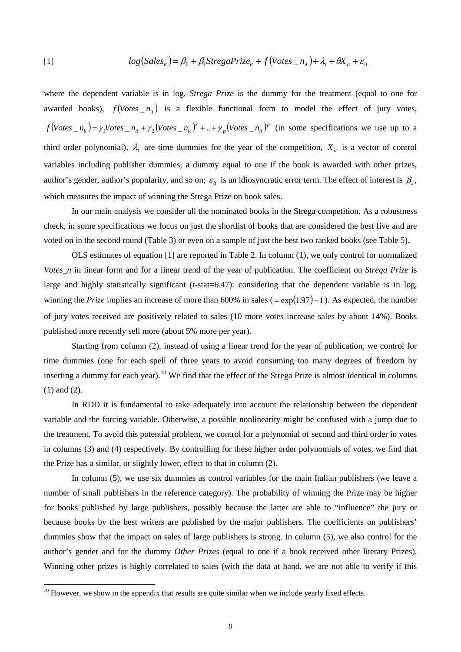[1] 
$$
log(Sales_{it}) = \beta_0 + \beta_1 StregaPrize_{it} + f(Votes_n + \lambda_t + \theta X_{it} + \varepsilon_{it})
$$

where the dependent variable is in log, *Strega Prize* is the dummy for the treatment (equal to one for awarded books),  $f(Votes_{n} - n_{n})$  is a flexible functional form to model the effect of jury votes,  $f(Votes_{-}n_{it}) = \gamma_1 Votes_{-}n_{it} + \gamma_2 (Votes_{-}n_{it})^2 + ... + \gamma_p (Votes_{-}n_{it})^p$  (in some specifications we use up to a third order polynomial),  $\lambda_t$  are time dummies for the year of the competition,  $X_{it}$  is a vector of control variables including publisher dummies, a dummy equal to one if the book is awarded with other prizes, author's gender, author's popularity, and so on;  $\varepsilon_{it}$  is an idiosyncratic error term. The effect of interest is  $\beta_1$ , which measures the impact of winning the Strega Prize on book sales.

In our main analysis we consider all the nominated books in the Strega competition. As a robustness check, in some specifications we focus on just the shortlist of books that are considered the best five and are voted on in the second round (Table 3) or even on a sample of just the best two ranked books (see Table 5).

OLS estimates of equation [1] are reported in Table 2. In column (1), we only control for normalized *Votes\_n* in linear form and for a linear trend of the year of publication. The coefficient on *Strega Prize* is large and highly statistically significant (*t*-stat=6.47): considering that the dependent variable is in log, winning the *Prize* implies an increase of more than 600% in sales (= exp(1.97)−1). As expected, the number of jury votes received are positively related to sales (10 more votes increase sales by about 14%). Books published more recently sell more (about 5% more per year).

Starting from column (2), instead of using a linear trend for the year of publication, we control for time dummies (one for each spell of three years to avoid consuming too many degrees of freedom by inserting a dummy for each year).<sup>[10](#page-8-0)</sup> We find that the effect of the Strega Prize is almost identical in columns (1) and (2).

In RDD it is fundamental to take adequately into account the relationship between the dependent variable and the forcing variable. Otherwise, a possible nonlinearity might be confused with a jump due to the treatment. To avoid this potential problem, we control for a polynomial of second and third order in votes in columns (3) and (4) respectively. By controlling for these higher order polynomials of votes, we find that the Prize has a similar, or slightly lower, effect to that in column (2).

In column (5), we use six dummies as control variables for the main Italian publishers (we leave a number of small publishers in the reference category). The probability of winning the Prize may be higher for books published by large publishers, possibly because the latter are able to "influence" the jury or because books by the best writers are published by the major publishers. The coefficients on publishers' dummies show that the impact on sales of large publishers is strong. In column (5), we also control for the author's gender and for the dummy *Other Prizes* (equal to one if a book received other literary Prizes). Winning other prizes is highly correlated to sales (with the data at hand, we are not able to verify if this

<span id="page-9-0"></span> $10$  However, we show in the appendix that results are quite similar when we include yearly fixed effects.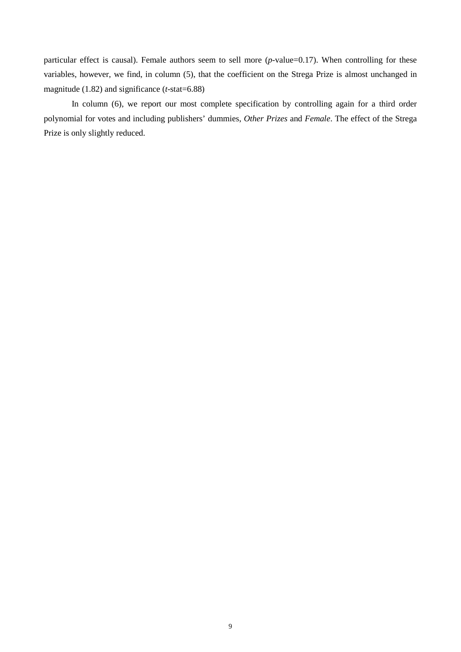particular effect is causal). Female authors seem to sell more (*p*-value=0.17). When controlling for these variables, however, we find, in column (5), that the coefficient on the Strega Prize is almost unchanged in magnitude (1.82) and significance (*t*-stat=6.88)

In column (6), we report our most complete specification by controlling again for a third order polynomial for votes and including publishers' dummies, *Other Prizes* and *Female*. The effect of the Strega Prize is only slightly reduced.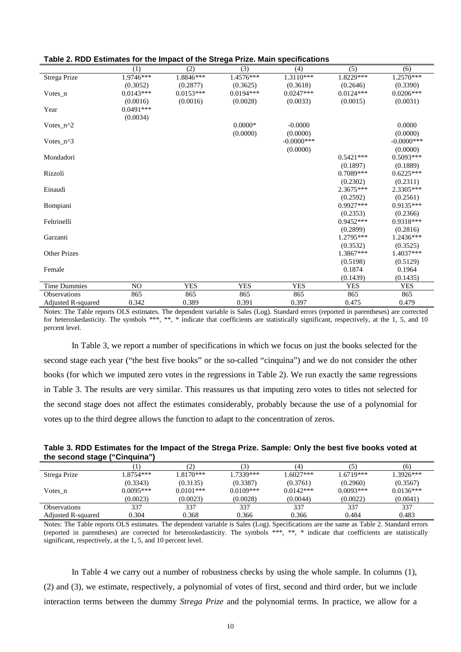| rable 2. Nob Estimates for the impact of the Streya Frize. Maill Specifications |                |             |             |               |             |               |
|---------------------------------------------------------------------------------|----------------|-------------|-------------|---------------|-------------|---------------|
|                                                                                 | (1)            | (2)         | (3)         | (4)           | (5)         | (6)           |
| Strega Prize                                                                    | 1.9746***      | 1.8846***   | 1.4576***   | 1.3110***     | 1.8229***   | 1.2570***     |
|                                                                                 | (0.3052)       | (0.2877)    | (0.3625)    | (0.3618)      | (0.2646)    | (0.3390)      |
| Votes n                                                                         | $0.0143***$    | $0.0153***$ | $0.0194***$ | $0.0247***$   | $0.0124***$ | $0.0206***$   |
|                                                                                 | (0.0016)       | (0.0016)    | (0.0028)    | (0.0033)      | (0.0015)    | (0.0031)      |
| Year                                                                            | $0.0491***$    |             |             |               |             |               |
|                                                                                 | (0.0034)       |             |             |               |             |               |
| Votes $n^2$                                                                     |                |             | $0.0000*$   | $-0.0000$     |             | 0.0000        |
|                                                                                 |                |             | (0.0000)    | (0.0000)      |             | (0.0000)      |
| Votes $n^3$                                                                     |                |             |             | $-0.0000$ *** |             | $-0.0000$ *** |
|                                                                                 |                |             |             | (0.0000)      |             | (0.0000)      |
| Mondadori                                                                       |                |             |             |               | $0.5421***$ | $0.5093***$   |
|                                                                                 |                |             |             |               | (0.1897)    | (0.1889)      |
| Rizzoli                                                                         |                |             |             |               | $0.7089***$ | $0.6225***$   |
|                                                                                 |                |             |             |               | (0.2302)    | (0.2311)      |
| Einaudi                                                                         |                |             |             |               | $2.3675***$ | $2.3305***$   |
|                                                                                 |                |             |             |               | (0.2592)    | (0.2561)      |
| Bompiani                                                                        |                |             |             |               | $0.9927***$ | $0.9135***$   |
|                                                                                 |                |             |             |               | (0.2353)    | (0.2366)      |
| Feltrinelli                                                                     |                |             |             |               | $0.9452***$ | $0.9318***$   |
|                                                                                 |                |             |             |               | (0.2899)    | (0.2816)      |
| Garzanti                                                                        |                |             |             |               | 1.2795***   | 1.2436***     |
|                                                                                 |                |             |             |               | (0.3532)    | (0.3525)      |
| <b>Other Prizes</b>                                                             |                |             |             |               | 1.3867***   | 1.4037***     |
|                                                                                 |                |             |             |               | (0.5198)    | (0.5129)      |
| Female                                                                          |                |             |             |               | 0.1874      | 0.1964        |
|                                                                                 |                |             |             |               | (0.1439)    | (0.1435)      |
| <b>Time Dummies</b>                                                             | N <sub>O</sub> | <b>YES</b>  | <b>YES</b>  | <b>YES</b>    | <b>YES</b>  | <b>YES</b>    |
| <b>Observations</b>                                                             | 865            | 865         | 865         | 865           | 865         | 865           |
| Adjusted R-squared                                                              | 0.342          | 0.389       | 0.391       | 0.397         | 0.475       | 0.479         |

| Table 2. RDD Estimates for the Impact of the Strega Prize. Main specifications |
|--------------------------------------------------------------------------------|
|--------------------------------------------------------------------------------|

Notes: The Table reports OLS estimates. The dependent variable is Sales (Log). Standard errors (reported in parentheses) are corrected for heteroskedasticity. The symbols \*\*\*, \*\*, \* indicate that coefficients are statistically significant, respectively, at the 1, 5, and 10 percent level.

In Table 3, we report a number of specifications in which we focus on just the books selected for the second stage each year ("the best five books" or the so-called "cinquina") and we do not consider the other books (for which we imputed zero votes in the regressions in Table 2). We run exactly the same regressions in Table 3. The results are very similar. This reassures us that imputing zero votes to titles not selected for the second stage does not affect the estimates considerably, probably because the use of a polynomial for votes up to the third degree allows the function to adapt to the concentration of zeros.

| ule second stage (  | <b>UIIIUUIII</b> |              |             |             |             |             |
|---------------------|------------------|--------------|-------------|-------------|-------------|-------------|
|                     |                  | ↵            |             | (4)         | 5           | (6)         |
| Strega Prize        | 1.8754***        | 1.8170***    | .7339***    | $.6027***$  | $1.6719***$ | 1.3926***   |
|                     | (0.3343)         | (0.3135)     | (0.3387)    | (0.3761)    | (0.2960)    | (0.3567)    |
| Votes n             | $0.0095***$      | $0.0101$ *** | $0.0109***$ | $0.0142***$ | $0.0093***$ | $0.0136***$ |
|                     | (0.0023)         | (0.0023)     | (0.0028)    | (0.0044)    | (0.0022)    | (0.0041)    |
| <b>Observations</b> | 337              | 337          | 337         | 337         | 337         | 337         |
| Adjusted R-squared  | 0.304            | 0.368        | 0.366       | 0.366       | 0.484       | 0.483       |

| Table 3. RDD Estimates for the Impact of the Strega Prize. Sample: Only the best five books voted at |  |
|------------------------------------------------------------------------------------------------------|--|
| the second stage ("Cinquina")                                                                        |  |

Notes: The Table reports OLS estimates. The dependent variable is Sales (Log). Specifications are the same as Table 2. Standard errors (reported in parentheses) are corrected for heteroskedasticity. The symbols \*\*\*, \*\*, \* indicate that coefficients are statistically significant, respectively, at the 1, 5, and 10 percent level.

In Table 4 we carry out a number of robustness checks by using the whole sample. In columns (1), (2) and (3), we estimate, respectively, a polynomial of votes of first, second and third order, but we include interaction terms between the dummy *Strega Prize* and the polynomial terms. In practice, we allow for a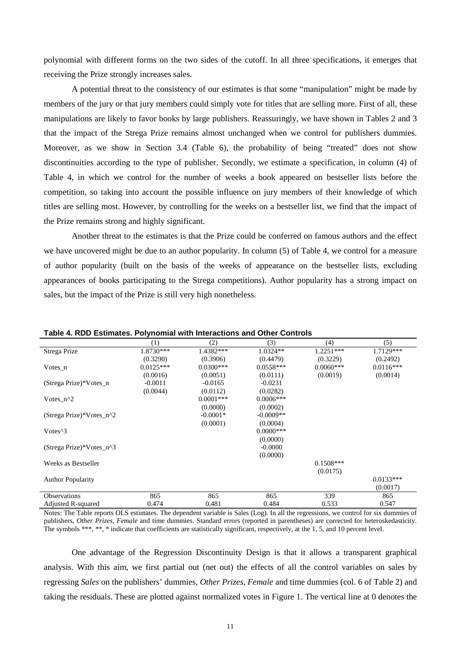polynomial with different forms on the two sides of the cutoff. In all three specifications, it emerges that receiving the Prize strongly increases sales.

A potential threat to the consistency of our estimates is that some "manipulation" might be made by members of the jury or that jury members could simply vote for titles that are selling more. First of all, these manipulations are likely to favor books by large publishers. Reassuringly, we have shown in Tables 2 and 3 that the impact of the Strega Prize remains almost unchanged when we control for publishers dummies. Moreover, as we show in Section 3.4 (Table 6), the probability of being "treated" does not show discontinuities according to the type of publisher. Secondly, we estimate a specification, in column (4) of Table 4, in which we control for the number of weeks a book appeared on bestseller lists before the competition, so taking into account the possible influence on jury members of their knowledge of which titles are selling most. However, by controlling for the weeks on a bestseller list, we find that the impact of the Prize remains strong and highly significant.

Another threat to the estimates is that the Prize could be conferred on famous authors and the effect we have uncovered might be due to an author popularity. In column (5) of Table 4, we control for a measure of author popularity (built on the basis of the weeks of appearance on the bestseller lists, excluding appearances of books participating to the Strega competitions). Author popularity has a strong impact on sales, but the impact of the Prize is still very high nonetheless.

|                            | (1)         | (2)         | (3)          | (4)         | (5)         |
|----------------------------|-------------|-------------|--------------|-------------|-------------|
| Strega Prize               | 1.8730***   | 1.4382***   | $1.0324**$   | $1.2251***$ | 1.7129***   |
|                            | (0.3290)    | (0.3906)    | (0.4479)     | (0.3229)    | (0.2492)    |
| Votes n                    | $0.0125***$ | $0.0300***$ | $0.0558***$  | $0.0060***$ | $0.0116***$ |
|                            | (0.0016)    | (0.0051)    | (0.0111)     | (0.0019)    | (0.0014)    |
| (Strega Prize)*Votes_n     | $-0.0011$   | $-0.0165$   | $-0.0231$    |             |             |
|                            | (0.0044)    | (0.0112)    | (0.0282)     |             |             |
| Votes $n^2$                |             | $0.0001***$ | $0.0006***$  |             |             |
|                            |             | (0.0000)    | (0.0002)     |             |             |
| (Strega Prize)*Votes_n^2   |             | $-0.0001*$  | $-0.0009**$  |             |             |
|                            |             | (0.0001)    | (0.0004)     |             |             |
| Votes $\frac{3}{3}$        |             |             | $0.0000$ *** |             |             |
|                            |             |             | (0.0000)     |             |             |
| (Strega Prize)*Votes $n^3$ |             |             | $-0.0000$    |             |             |
|                            |             |             | (0.0000)     |             |             |
| Weeks as Bestseller        |             |             |              | $0.1508***$ |             |
|                            |             |             |              | (0.0175)    |             |
| <b>Author Popularity</b>   |             |             |              |             | $0.0133***$ |
|                            |             |             |              |             | (0.0017)    |
| <b>Observations</b>        | 865         | 865         | 865          | 339         | 865         |
| Adjusted R-squared         | 0.474       | 0.481       | 0.484        | 0.533       | 0.547       |

**Table 4. RDD Estimates. Polynomial with Interactions and Other Controls**

Notes: The Table reports OLS estimates. The dependent variable is Sales (Log). In all the regressions, we control for six dummies of publishers, *Other Prizes*, *Female* and time dummies. Standard errors (reported in parentheses) are corrected for heteroskedasticity. The symbols \*\*\*, \*\*, \* indicate that coefficients are statistically significant, respectively, at the 1, 5, and 10 percent level.

One advantage of the Regression Discontinuity Design is that it allows a transparent graphical analysis. With this aim, we first partial out (net out) the effects of all the control variables on sales by regressing *Sales* on the publishers' dummies, *Other Prizes*, *Female* and time dummies (col. 6 of Table 2) and taking the residuals. These are plotted against normalized votes in Figure 1. The vertical line at 0 denotes the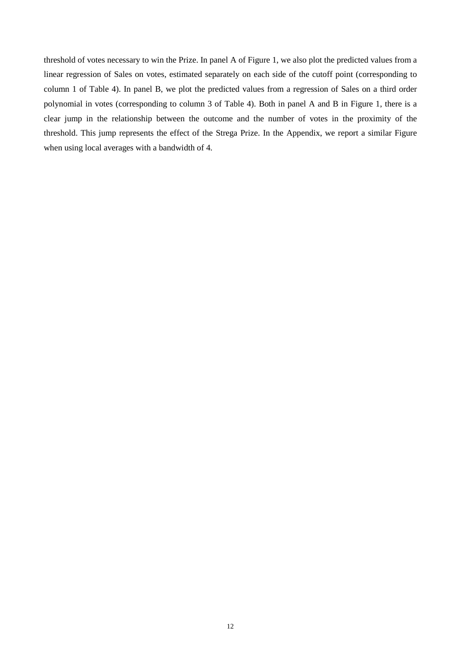threshold of votes necessary to win the Prize. In panel A of Figure 1, we also plot the predicted values from a linear regression of Sales on votes, estimated separately on each side of the cutoff point (corresponding to column 1 of Table 4). In panel B, we plot the predicted values from a regression of Sales on a third order polynomial in votes (corresponding to column 3 of Table 4). Both in panel A and B in Figure 1, there is a clear jump in the relationship between the outcome and the number of votes in the proximity of the threshold. This jump represents the effect of the Strega Prize. In the Appendix, we report a similar Figure when using local averages with a bandwidth of 4.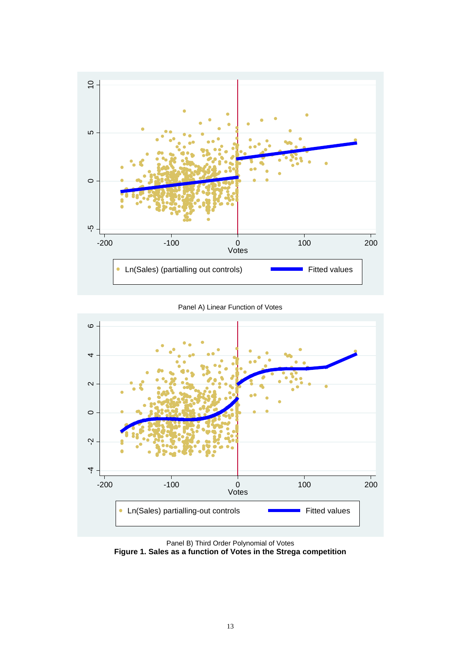

Panel A) Linear Function of Votes



Panel B) Third Order Polynomial of Votes **Figure 1. Sales as a function of Votes in the Strega competition**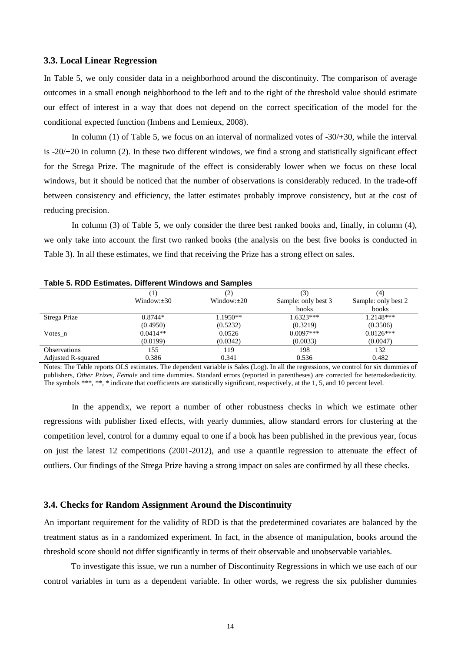#### **3.3. Local Linear Regression**

In Table 5, we only consider data in a neighborhood around the discontinuity. The comparison of average outcomes in a small enough neighborhood to the left and to the right of the threshold value should estimate our effect of interest in a way that does not depend on the correct specification of the model for the conditional expected function (Imbens and Lemieux, 2008).

In column (1) of Table 5, we focus on an interval of normalized votes of  $-30/+30$ , while the interval is -20/+20 in column (2). In these two different windows, we find a strong and statistically significant effect for the Strega Prize. The magnitude of the effect is considerably lower when we focus on these local windows, but it should be noticed that the number of observations is considerably reduced. In the trade-off between consistency and efficiency, the latter estimates probably improve consistency, but at the cost of reducing precision.

In column (3) of Table 5, we only consider the three best ranked books and, finally, in column (4), we only take into account the first two ranked books (the analysis on the best five books is conducted in Table 3). In all these estimates, we find that receiving the Prize has a strong effect on sales.

|                           | 1)               | 2)            | (3)                 | (4)                 |
|---------------------------|------------------|---------------|---------------------|---------------------|
|                           | Window: $\pm 30$ | Window: $+20$ | Sample: only best 3 | Sample: only best 2 |
|                           |                  |               | books               | books               |
| Strega Prize              | $0.8744*$        | $1.1950**$    | $1.6323***$         | $1.2148***$         |
|                           | (0.4950)         | (0.5232)      | (0.3219)            | (0.3506)            |
| Votes n                   | $0.0414**$       | 0.0526        | $0.0097***$         | $0.0126***$         |
|                           | (0.0199)         | (0.0342)      | (0.0033)            | (0.0047)            |
| <b>Observations</b>       | 155              | 119           | 198                 | 132                 |
| <b>Adjusted R-squared</b> | 0.386            | 0.341         | 0.536               | 0.482               |

| Table 5. RDD Estimates. Different Windows and Samples |  |  |  |
|-------------------------------------------------------|--|--|--|
|                                                       |  |  |  |

Notes: The Table reports OLS estimates. The dependent variable is Sales (Log). In all the regressions, we control for six dummies of publishers, *Other Prizes*, *Female* and time dummies. Standard errors (reported in parentheses) are corrected for heteroskedasticity. The symbols \*\*\*, \*\*, \* indicate that coefficients are statistically significant, respectively, at the 1, 5, and 10 percent level.

In the appendix, we report a number of other robustness checks in which we estimate other regressions with publisher fixed effects, with yearly dummies, allow standard errors for clustering at the competition level, control for a dummy equal to one if a book has been published in the previous year, focus on just the latest 12 competitions (2001-2012), and use a quantile regression to attenuate the effect of outliers. Our findings of the Strega Prize having a strong impact on sales are confirmed by all these checks.

#### **3.4. Checks for Random Assignment Around the Discontinuity**

An important requirement for the validity of RDD is that the predetermined covariates are balanced by the treatment status as in a randomized experiment. In fact, in the absence of manipulation, books around the threshold score should not differ significantly in terms of their observable and unobservable variables.

To investigate this issue, we run a number of Discontinuity Regressions in which we use each of our control variables in turn as a dependent variable. In other words, we regress the six publisher dummies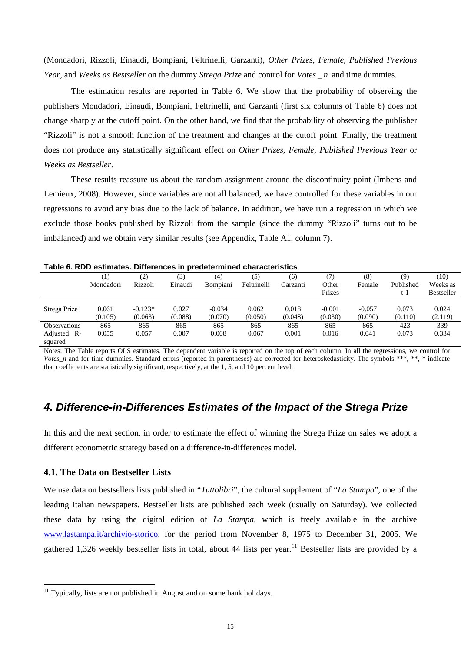(Mondadori, Rizzoli, Einaudi, Bompiani, Feltrinelli, Garzanti), *Other Prizes*, *Female*, *Published Previous Year*, and *Weeks as Bestseller* on the dummy *Strega Prize* and control for *Votes* \_ *n* and time dummies.

The estimation results are reported in Table 6. We show that the probability of observing the publishers Mondadori, Einaudi, Bompiani, Feltrinelli, and Garzanti (first six columns of Table 6) does not change sharply at the cutoff point. On the other hand, we find that the probability of observing the publisher "Rizzoli" is not a smooth function of the treatment and changes at the cutoff point. Finally, the treatment does not produce any statistically significant effect on *Other Prizes*, *Female*, *Published Previous Year* or *Weeks as Bestseller*.

These results reassure us about the random assignment around the discontinuity point (Imbens and Lemieux, 2008). However, since variables are not all balanced, we have controlled for these variables in our regressions to avoid any bias due to the lack of balance. In addition, we have run a regression in which we exclude those books published by Rizzoli from the sample (since the dummy "Rizzoli" turns out to be imbalanced) and we obtain very similar results (see Appendix, Table A1, column 7).

|                     |           | (2)       | (3)     | (4)             | (5)         | (6)      | (7)      | (8)      | (9)       | (10)       |
|---------------------|-----------|-----------|---------|-----------------|-------------|----------|----------|----------|-----------|------------|
|                     | Mondadori | Rizzoli   | Einaudi | <b>Bompiani</b> | Feltrinelli | Garzanti | Other    | Female   | Published | Weeks as   |
|                     |           |           |         |                 |             |          | Prizes   |          | t-1       | Bestseller |
|                     |           |           |         |                 |             |          |          |          |           |            |
| Strega Prize        | 0.061     | $-0.123*$ | 0.027   | $-0.034$        | 0.062       | 0.018    | $-0.001$ | $-0.057$ | 0.073     | 0.024      |
|                     | (0.105)   | (0.063)   | (0.088) | (0.070)         | (0.050)     | (0.048)  | (0.030)  | (0.090)  | (0.110)   | (2.119)    |
| <b>Observations</b> | 865       | 865       | 865     | 865             | 865         | 865      | 865      | 865      | 423       | 339        |
| Adjusted R-         | 0.055     | 0.057     | 0.007   | 0.008           | 0.067       | 0.001    | 0.016    | 0.041    | 0.073     | 0.334      |
| squared             |           |           |         |                 |             |          |          |          |           |            |

**Table 6. RDD estimates. Differences in predetermined characteristics**

Notes: The Table reports OLS estimates. The dependent variable is reported on the top of each column. In all the regressions, we control for *Votes\_n* and for time dummies. Standard errors (reported in parentheses) are corrected for heteroskedasticity. The symbols \*\*\*, \*\*, \* indicate that coefficients are statistically significant, respectively, at the 1, 5, and 10 percent level.

### *4. Difference-in-Differences Estimates of the Impact of the Strega Prize*

In this and the next section, in order to estimate the effect of winning the Strega Prize on sales we adopt a different econometric strategy based on a difference-in-differences model.

#### **4.1. The Data on Bestseller Lists**

<span id="page-16-0"></span>We use data on bestsellers lists published in "*Tuttolibri*", the cultural supplement of "*La Stampa*", one of the leading Italian newspapers. Bestseller lists are published each week (usually on Saturday). We collected these data by using the digital edition of *La Stampa,* which is freely available in the archive [www.lastampa.it/archivio-storico,](http://www.lastampa.it/archivio-storico) for the period from November 8, 1975 to December 31, 2005. We gathered 1,326 weekly bestseller lists in total, about 44 lists per year.<sup>[11](#page-9-0)</sup> Bestseller lists are provided by a

 $11$  Typically, lists are not published in August and on some bank holidays.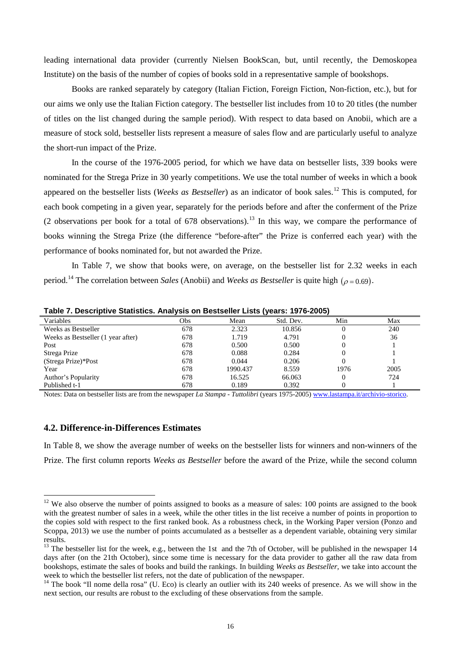leading international data provider (currently Nielsen BookScan, but, until recently, the Demoskopea Institute) on the basis of the number of copies of books sold in a representative sample of bookshops.

Books are ranked separately by category (Italian Fiction, Foreign Fiction, Non-fiction, etc.), but for our aims we only use the Italian Fiction category. The bestseller list includes from 10 to 20 titles (the number of titles on the list changed during the sample period). With respect to data based on Anobii, which are a measure of stock sold, bestseller lists represent a measure of sales flow and are particularly useful to analyze the short-run impact of the Prize.

In the course of the 1976-2005 period, for which we have data on bestseller lists, 339 books were nominated for the Strega Prize in 30 yearly competitions. We use the total number of weeks in which a book appeared on the bestseller lists (*Weeks as Bestseller*) as an indicator of book sales. [12](#page-16-0) This is computed, for each book competing in a given year, separately for the periods before and after the conferment of the Prize (2 observations per book for a total of  $678$  observations).<sup>[13](#page-17-0)</sup> In this way, we compare the performance of books winning the Strega Prize (the difference "before-after" the Prize is conferred each year) with the performance of books nominated for, but not awarded the Prize.

In Table 7, we show that books were, on average, on the bestseller list for 2.32 weeks in each period.<sup>[14](#page-17-1)</sup> The correlation between *Sales* (Anobii) and *Weeks as Bestseller* is quite high  $(\rho = 0.69)$ .

| Variables                          | Obs | Mean     | Std. Dev. | Min  | Max  |  |
|------------------------------------|-----|----------|-----------|------|------|--|
| Weeks as Bestseller                | 678 | 2.323    | 10.856    |      | 240  |  |
| Weeks as Bestseller (1 year after) | 678 | 1.719    | 4.791     |      | 36   |  |
| Post                               | 678 | 0.500    | 0.500     |      |      |  |
| Strega Prize                       | 678 | 0.088    | 0.284     |      |      |  |
| (Strega Prize)*Post                | 678 | 0.044    | 0.206     |      |      |  |
| Year                               | 678 | 1990.437 | 8.559     | 1976 | 2005 |  |
| Author's Popularity                | 678 | 16.525   | 66.063    |      | 724  |  |
| Published t-1                      | 678 | 0.189    | 0.392     |      |      |  |
|                                    |     |          |           |      |      |  |

**Table 7. Descriptive Statistics. Analysis on Bestseller Lists (years: 1976-2005)**

Notes: Data on bestseller lists are from the newspaper *La Stampa - Tuttolibri* (years 1975-2005[\) www.lastampa.it/archivio-storico.](http://www.lastampa.it/archivio-storico)

#### **4.2. Difference-in-Differences Estimates**

In Table 8, we show the average number of weeks on the bestseller lists for winners and non-winners of the Prize. The first column reports *Weeks as Bestseller* before the award of the Prize, while the second column

 $12$  We also observe the number of points assigned to books as a measure of sales: 100 points are assigned to the book with the greatest number of sales in a week, while the other titles in the list receive a number of points in proportion to the copies sold with respect to the first ranked book. As a robustness check, in the Working Paper version (Ponzo and Scoppa, 2013) we use the number of points accumulated as a bestseller as a dependent variable, obtaining very similar results.

<span id="page-17-0"></span> $13$  The bestseller list for the week, e.g., between the 1st and the 7th of October, will be published in the newspaper 14 days after (on the 21th October), since some time is necessary for the data provider to gather all the raw data from bookshops, estimate the sales of books and build the rankings. In building *Weeks as Bestseller,* we take into account the

<span id="page-17-1"></span> $14$  The book "Il nome della rosa" (U. Eco) is clearly an outlier with its 240 weeks of presence. As we will show in the next section, our results are robust to the excluding of these observations from the sample.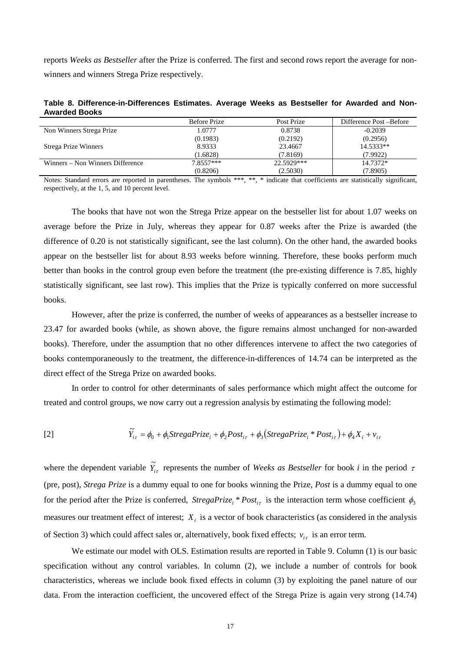reports *Weeks as Bestseller* after the Prize is conferred. The first and second rows report the average for nonwinners and winners Strega Prize respectively.

**Table 8. Difference-in-Differences Estimates. Average Weeks as Bestseller for Awarded and Non-Awarded Books**

|                                  | Before Prize | Post Prize | Difference Post – Before |
|----------------------------------|--------------|------------|--------------------------|
| Non Winners Strega Prize         | 1.0777       | 0.8738     | $-0.2039$                |
|                                  | (0.1983)     | (0.2192)   | (0.2956)                 |
| Strega Prize Winners             | 8.9333       | 23.4667    | 14.5333**                |
|                                  | (1.6828)     | (7.8169)   | (7.9922)                 |
| Winners – Non Winners Difference | $7.8557***$  | 22.5929*** | 14.7372*                 |
|                                  | (0.8206)     | (2.5030)   | (7.8905)                 |

Notes: Standard errors are reported in parentheses. The symbols \*\*\*, \*\*, \* indicate that coefficients are statistically significant, respectively, at the 1, 5, and 10 percent level.

The books that have not won the Strega Prize appear on the bestseller list for about 1.07 weeks on average before the Prize in July, whereas they appear for 0.87 weeks after the Prize is awarded (the difference of 0.20 is not statistically significant, see the last column). On the other hand, the awarded books appear on the bestseller list for about 8.93 weeks before winning. Therefore, these books perform much better than books in the control group even before the treatment (the pre-existing difference is 7.85, highly statistically significant, see last row). This implies that the Prize is typically conferred on more successful books.

However, after the prize is conferred, the number of weeks of appearances as a bestseller increase to 23.47 for awarded books (while, as shown above, the figure remains almost unchanged for non-awarded books). Therefore, under the assumption that no other differences intervene to affect the two categories of books contemporaneously to the treatment, the difference-in-differences of 14.74 can be interpreted as the direct effect of the Strega Prize on awarded books.

In order to control for other determinants of sales performance which might affect the outcome for treated and control groups, we now carry out a regression analysis by estimating the following model:

[2] 
$$
\widetilde{Y}_{i\tau} = \phi_0 + \phi_1 \text{StregaPrize}_i + \phi_2 \text{Post}_{i\tau} + \phi_3 (\text{StregaPrize}_i * \text{Post}_{i\tau}) + \phi_4 X_i + v_{i\tau}
$$

where the dependent variable  $\tilde{Y}_{i\tau}$  represents the number of *Weeks as Bestseller* for book *i* in the period  $\tau$ (pre, post), *Strega Prize* is a dummy equal to one for books winning the Prize, *Post* is a dummy equal to one for the period after the Prize is conferred, *StregaPrize*<sub>*i*</sub> \*  $Post_{i\tau}$  is the interaction term whose coefficient  $\phi_3$ measures our treatment effect of interest;  $X_i$  is a vector of book characteristics (as considered in the analysis of Section 3) which could affect sales or, alternatively, book fixed effects;  $v_{i\tau}$  is an error term.

We estimate our model with OLS. Estimation results are reported in Table 9. Column (1) is our basic specification without any control variables. In column (2), we include a number of controls for book characteristics, whereas we include book fixed effects in column (3) by exploiting the panel nature of our data. From the interaction coefficient, the uncovered effect of the Strega Prize is again very strong (14.74)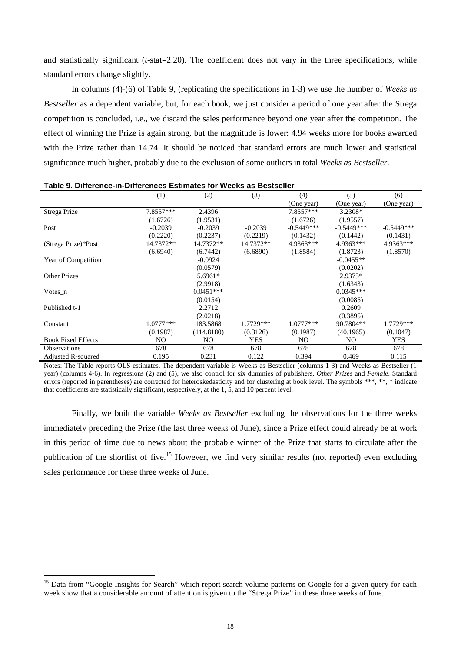and statistically significant (*t*-stat=2.20). The coefficient does not vary in the three specifications, while standard errors change slightly.

In columns (4)-(6) of Table 9, (replicating the specifications in 1-3) we use the number of *Weeks as Bestseller* as a dependent variable, but, for each book, we just consider a period of one year after the Strega competition is concluded, i.e., we discard the sales performance beyond one year after the competition. The effect of winning the Prize is again strong, but the magnitude is lower: 4.94 weeks more for books awarded with the Prize rather than 14.74. It should be noticed that standard errors are much lower and statistical significance much higher, probably due to the exclusion of some outliers in total *Weeks as Bestseller*.

|                           | (1)       | (2)         | (3)        | (4)            | (5)          | (6)          |  |
|---------------------------|-----------|-------------|------------|----------------|--------------|--------------|--|
|                           |           |             |            | (One year)     | (One year)   | (One year)   |  |
| Strega Prize              | 7.8557*** | 2.4396      |            | 7.8557***      | 3.2308*      |              |  |
|                           | (1.6726)  | (1.9531)    |            | (1.6726)       | (1.9557)     |              |  |
| Post                      | $-0.2039$ | $-0.2039$   | $-0.2039$  | $-0.5449***$   | $-0.5449***$ | $-0.5449***$ |  |
|                           | (0.2220)  | (0.2237)    | (0.2219)   | (0.1432)       | (0.1442)     | (0.1431)     |  |
| (Strega Prize)*Post       | 14.7372** | 14.7372**   | 14.7372**  | 4.9363***      | 4.9363***    | 4.9363***    |  |
|                           | (6.6940)  | (6.7442)    | (6.6890)   | (1.8584)       | (1.8723)     | (1.8570)     |  |
| Year of Competition       |           | $-0.0924$   |            |                | $-0.0455**$  |              |  |
|                           |           | (0.0579)    |            |                | (0.0202)     |              |  |
| <b>Other Prizes</b>       |           | 5.6961*     |            |                | 2.9375*      |              |  |
|                           |           | (2.9918)    |            |                | (1.6343)     |              |  |
| Votes n                   |           | $0.0451***$ |            |                | $0.0345***$  |              |  |
|                           |           | (0.0154)    |            |                | (0.0085)     |              |  |
| Published t-1             |           | 2.2712      |            |                | 0.2609       |              |  |
|                           |           | (2.0218)    |            |                | (0.3895)     |              |  |
| Constant                  | 1.0777*** | 183.5868    | 1.7729***  | $1.0777***$    | 90.7804**    | 1.7729***    |  |
|                           | (0.1987)  | (114.8180)  | (0.3126)   | (0.1987)       | (40.1965)    | (0.1047)     |  |
| <b>Book Fixed Effects</b> | NO        | NO          | <b>YES</b> | N <sub>O</sub> | NO           | <b>YES</b>   |  |
| <b>Observations</b>       | 678       | 678         | 678        | 678            | 678          | 678          |  |
| <b>Adjusted R-squared</b> | 0.195     | 0.231       | 0.122      | 0.394          | 0.469        | 0.115        |  |

**Table 9. Difference-in-Differences Estimates for Weeks as Bestseller**

Notes: The Table reports OLS estimates. The dependent variable is Weeks as Bestseller (columns 1-3) and Weeks as Bestseller (1 year) (columns 4-6). In regressions (2) and (5), we also control for six dummies of publishers, *Other Prizes* and *Female*. Standard errors (reported in parentheses) are corrected for heteroskedasticity and for clustering at book level. The symbols \*\*\*, \*\*, \* indicate that coefficients are statistically significant, respectively, at the 1, 5, and 10 percent level.

Finally, we built the variable *Weeks as Bestseller* excluding the observations for the three weeks immediately preceding the Prize (the last three weeks of June), since a Prize effect could already be at work in this period of time due to news about the probable winner of the Prize that starts to circulate after the publication of the shortlist of five.[15](#page-17-1) However, we find very similar results (not reported) even excluding sales performance for these three weeks of June.

<span id="page-19-0"></span><sup>&</sup>lt;sup>15</sup> Data from "Google Insights for Search" which report search volume patterns on Google for a given query for each week show that a considerable amount of attention is given to the "Strega Prize" in these three weeks of June.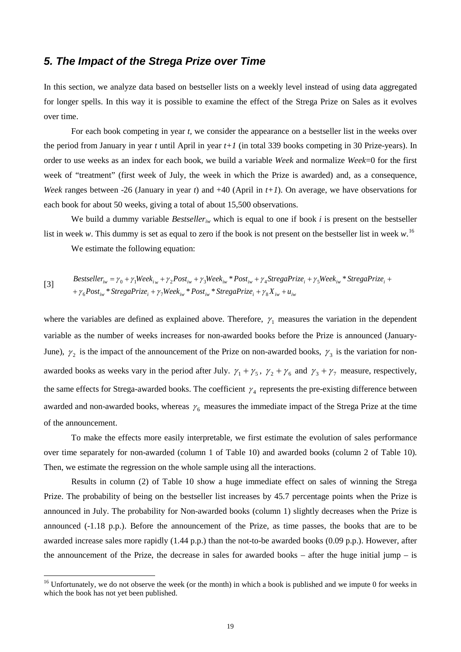### *5. The Impact of the Strega Prize over Time*

In this section, we analyze data based on bestseller lists on a weekly level instead of using data aggregated for longer spells. In this way it is possible to examine the effect of the Strega Prize on Sales as it evolves over time.

For each book competing in year *t,* we consider the appearance on a bestseller list in the weeks over the period from January in year *t* until April in year *t+1* (in total 339 books competing in 30 Prize-years). In order to use weeks as an index for each book, we build a variable *Week* and normalize *Week*=0 for the first week of "treatment" (first week of July, the week in which the Prize is awarded) and, as a consequence, *Week* ranges between -26 (January in year *t*) and +40 (April in *t+1*). On average, we have observations for each book for about 50 weeks, giving a total of about 15,500 observations.

We build a dummy variable *Bestseller<sub>iw</sub>* which is equal to one if book *i* is present on the bestseller list in week *w*. This dummy is set as equal to zero if the book is not present on the bestseller list in week *w*.<sup>[16](#page-19-0)</sup>

We estimate the following equation:

$$
Best seller_{iw} = \gamma_0 + \gamma_1 Week_{iw} + \gamma_2 Post_{iw} + \gamma_3 Week_{iw} * Post_{iw} + \gamma_4 Strega Prize_i + \gamma_5 Week_{iw} * StregaPrice_i + \gamma_6 Post_{iw} * StregaPrice_i + \gamma_7 Week_{iw} * Post_{iw} * SetsaPrice_i + \gamma_8 X_{iw} + u_{iw}
$$

where the variables are defined as explained above. Therefore,  $\gamma_1$  measures the variation in the dependent variable as the number of weeks increases for non-awarded books before the Prize is announced (January-June),  $\gamma_2$  is the impact of the announcement of the Prize on non-awarded books,  $\gamma_3$  is the variation for nonawarded books as weeks vary in the period after July.  $\gamma_1 + \gamma_5$ ,  $\gamma_2 + \gamma_6$  and  $\gamma_3 + \gamma_7$  measure, respectively, the same effects for Strega-awarded books. The coefficient  $\gamma_4$  represents the pre-existing difference between awarded and non-awarded books, whereas  $\gamma_6$  measures the immediate impact of the Strega Prize at the time of the announcement.

To make the effects more easily interpretable, we first estimate the evolution of sales performance over time separately for non-awarded (column 1 of Table 10) and awarded books (column 2 of Table 10). Then, we estimate the regression on the whole sample using all the interactions.

Results in column (2) of Table 10 show a huge immediate effect on sales of winning the Strega Prize. The probability of being on the bestseller list increases by 45.7 percentage points when the Prize is announced in July. The probability for Non-awarded books (column 1) slightly decreases when the Prize is announced (-1.18 p.p.). Before the announcement of the Prize, as time passes, the books that are to be awarded increase sales more rapidly (1.44 p.p.) than the not-to-be awarded books (0.09 p.p.). However, after the announcement of the Prize, the decrease in sales for awarded books – after the huge initial jump – is

 $16$  Unfortunately, we do not observe the week (or the month) in which a book is published and we impute 0 for weeks in which the book has not yet been published.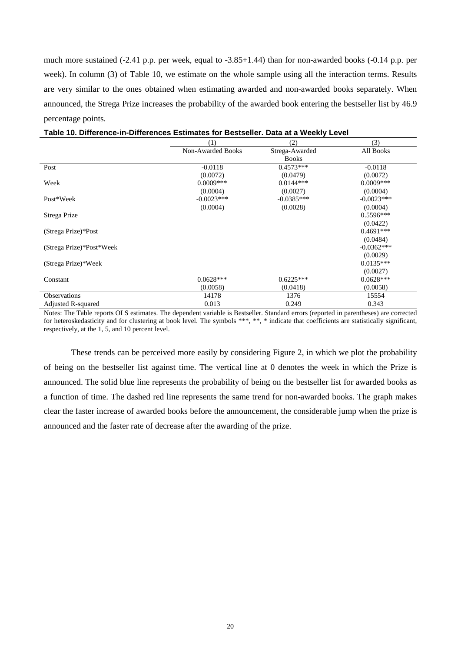much more sustained (-2.41 p.p. per week, equal to -3.85+1.44) than for non-awarded books (-0.14 p.p. per week). In column (3) of Table 10, we estimate on the whole sample using all the interaction terms. Results are very similar to the ones obtained when estimating awarded and non-awarded books separately. When announced, the Strega Prize increases the probability of the awarded book entering the bestseller list by 46.9 percentage points.

|                          | (1)                      | (2)            | (3)          |
|--------------------------|--------------------------|----------------|--------------|
|                          | <b>Non-Awarded Books</b> | Strega-Awarded | All Books    |
|                          |                          | <b>Books</b>   |              |
| Post                     | $-0.0118$                | $0.4573***$    | $-0.0118$    |
|                          | (0.0072)                 | (0.0479)       | (0.0072)     |
| Week                     | $0.0009***$              | $0.0144***$    | $0.0009***$  |
|                          | (0.0004)                 | (0.0027)       | (0.0004)     |
| Post*Week                | $-0.0023***$             | $-0.0385***$   | $-0.0023***$ |
|                          | (0.0004)                 | (0.0028)       | (0.0004)     |
| Strega Prize             |                          |                | $0.5596***$  |
|                          |                          |                | (0.0422)     |
| (Strega Prize)*Post      |                          |                | $0.4691***$  |
|                          |                          |                | (0.0484)     |
| (Strega Prize)*Post*Week |                          |                | $-0.0362***$ |
|                          |                          |                | (0.0029)     |
| (Strega Prize)*Week      |                          |                | $0.0135***$  |
|                          |                          |                | (0.0027)     |
| Constant                 | $0.0628***$              | $0.6225***$    | $0.0628***$  |
|                          | (0.0058)                 | (0.0418)       | (0.0058)     |
| Observations             | 14178                    | 1376           | 15554        |
| Adjusted R-squared       | 0.013                    | 0.249          | 0.343        |

| Table 10. Difference-in-Differences Estimates for Bestseller. Data at a Weekly Level |
|--------------------------------------------------------------------------------------|
|--------------------------------------------------------------------------------------|

Notes: The Table reports OLS estimates. The dependent variable is Bestseller. Standard errors (reported in parentheses) are corrected for heteroskedasticity and for clustering at book level. The symbols \*\*\*, \*\*, \* indicate that coefficients are statistically significant, respectively, at the 1, 5, and 10 percent level.

These trends can be perceived more easily by considering Figure 2, in which we plot the probability of being on the bestseller list against time. The vertical line at 0 denotes the week in which the Prize is announced. The solid blue line represents the probability of being on the bestseller list for awarded books as a function of time. The dashed red line represents the same trend for non-awarded books. The graph makes clear the faster increase of awarded books before the announcement, the considerable jump when the prize is announced and the faster rate of decrease after the awarding of the prize.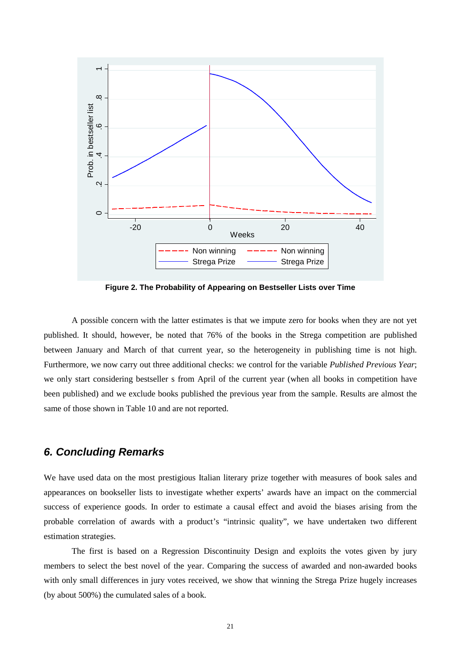

**Figure 2. The Probability of Appearing on Bestseller Lists over Time**

A possible concern with the latter estimates is that we impute zero for books when they are not yet published. It should, however, be noted that 76% of the books in the Strega competition are published between January and March of that current year, so the heterogeneity in publishing time is not high. Furthermore, we now carry out three additional checks: we control for the variable *Published Previous Year*; we only start considering bestseller s from April of the current year (when all books in competition have been published) and we exclude books published the previous year from the sample. Results are almost the same of those shown in Table 10 and are not reported.

### *6. Concluding Remarks*

We have used data on the most prestigious Italian literary prize together with measures of book sales and appearances on bookseller lists to investigate whether experts' awards have an impact on the commercial success of experience goods. In order to estimate a causal effect and avoid the biases arising from the probable correlation of awards with a product's "intrinsic quality", we have undertaken two different estimation strategies.

The first is based on a Regression Discontinuity Design and exploits the votes given by jury members to select the best novel of the year. Comparing the success of awarded and non-awarded books with only small differences in jury votes received, we show that winning the Strega Prize hugely increases (by about 500%) the cumulated sales of a book.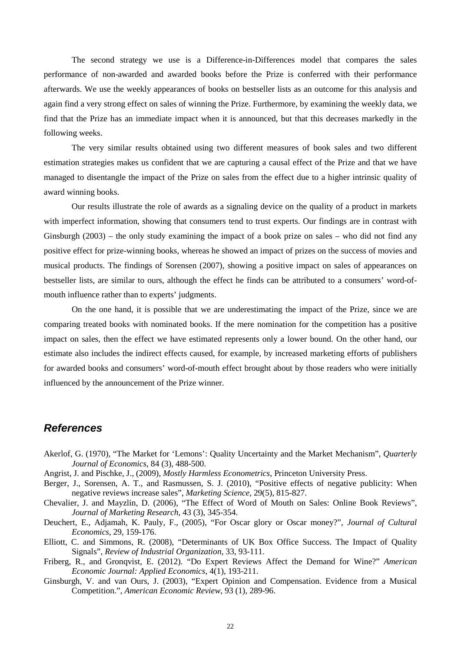The second strategy we use is a Difference-in-Differences model that compares the sales performance of non-awarded and awarded books before the Prize is conferred with their performance afterwards. We use the weekly appearances of books on bestseller lists as an outcome for this analysis and again find a very strong effect on sales of winning the Prize. Furthermore, by examining the weekly data, we find that the Prize has an immediate impact when it is announced, but that this decreases markedly in the following weeks.

The very similar results obtained using two different measures of book sales and two different estimation strategies makes us confident that we are capturing a causal effect of the Prize and that we have managed to disentangle the impact of the Prize on sales from the effect due to a higher intrinsic quality of award winning books.

Our results illustrate the role of awards as a signaling device on the quality of a product in markets with imperfect information, showing that consumers tend to trust experts. Our findings are in contrast with Ginsburgh (2003) – the only study examining the impact of a book prize on sales – who did not find any positive effect for prize-winning books, whereas he showed an impact of prizes on the success of movies and musical products. The findings of Sorensen (2007), showing a positive impact on sales of appearances on bestseller lists, are similar to ours, although the effect he finds can be attributed to a consumers' word-ofmouth influence rather than to experts' judgments.

On the one hand, it is possible that we are underestimating the impact of the Prize, since we are comparing treated books with nominated books. If the mere nomination for the competition has a positive impact on sales, then the effect we have estimated represents only a lower bound. On the other hand, our estimate also includes the indirect effects caused, for example, by increased marketing efforts of publishers for awarded books and consumers' word-of-mouth effect brought about by those readers who were initially influenced by the announcement of the Prize winner.

## *References*

- Akerlof, G. (1970), "The Market for 'Lemons': Quality Uncertainty and the Market Mechanism", *Quarterly Journal of Economics*, 84 (3), 488-500.
- Angrist, J. and Pischke, J., (2009), *Mostly Harmless Econometrics*, Princeton University Press.
- Berger, J., Sorensen, A. T., and Rasmussen, S. J. (2010), "Positive effects of negative publicity: When negative reviews increase sales", *Marketing Science*, 29(5), 815-827.
- Chevalier, J. and Mayzlin, D. (2006), "The Effect of Word of Mouth on Sales: Online Book Reviews", *Journal of Marketing Research*, 43 (3), 345-354.
- Deuchert, E., Adjamah, K. Pauly, F., (2005), "For Oscar glory or Oscar money?", *Journal of Cultural Economics*, 29, 159-176.
- Elliott, C. and Simmons, R. (2008), "Determinants of UK Box Office Success. The Impact of Quality Signals", *Review of Industrial Organization*, 33, 93-111.
- Friberg, R., and Gronqvist, E. (2012). "Do Expert Reviews Affect the Demand for Wine?" *American Economic Journal: Applied Economics*, 4(1), 193-211.
- Ginsburgh, V. and van Ours, J. (2003), "Expert Opinion and Compensation. Evidence from a Musical Competition.", *American Economic Review*, 93 (1), 289-96.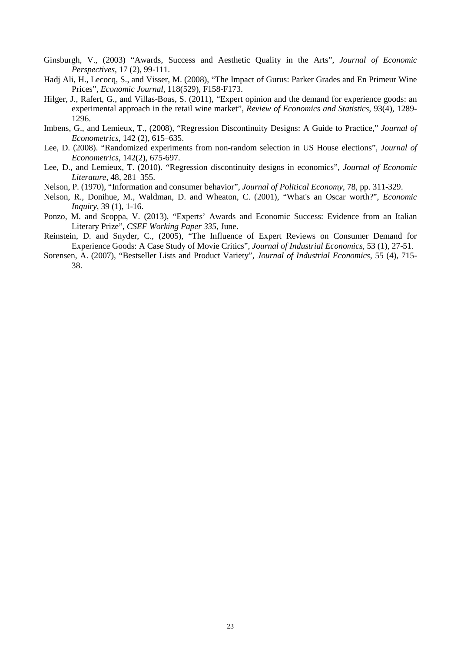- Ginsburgh, V., (2003) "Awards, Success and Aesthetic Quality in the Arts", *Journal of Economic Perspectives,* 17 (2), 99-111.
- Hadj Ali, H., Lecocq, S., and Visser, M. (2008), "The Impact of Gurus: Parker Grades and En Primeur Wine Prices", *Economic Journal*, 118(529), F158-F173.
- Hilger, J., Rafert, G., and Villas-Boas, S. (2011), "Expert opinion and the demand for experience goods: an experimental approach in the retail wine market", *Review of Economics and Statistics*, 93(4), 1289- 1296.
- Imbens, G., and Lemieux, T., (2008), "Regression Discontinuity Designs: A Guide to Practice," *Journal of Econometrics*, 142 (2), 615–635.
- Lee, D. (2008). "Randomized experiments from non-random selection in US House elections", *Journal of Econometrics*, 142(2), 675-697.
- Lee, D., and Lemieux, T. (2010). "Regression discontinuity designs in economics", *Journal of Economic Literature*, 48, 281–355.
- Nelson, P. (1970), "Information and consumer behavior", *Journal of Political Economy*, 78, pp. 311-329.
- Nelson, R., Donihue, M., Waldman, D. and Wheaton, C. (2001), "What's an Oscar worth?", *Economic Inquiry*, 39 (1), 1-16.
- Ponzo, M. and Scoppa, V. (2013), "Experts' Awards and Economic Success: Evidence from an Italian Literary Prize", *CSEF Working Paper 335*, June.
- Reinstein, D. and Snyder, C., (2005), "The Influence of Expert Reviews on Consumer Demand for Experience Goods: A Case Study of Movie Critics", *Journal of Industrial Economics*, 53 (1), 27-51.
- Sorensen, A. (2007), "Bestseller Lists and Product Variety", *Journal of Industrial Economics*, 55 (4), 715- 38.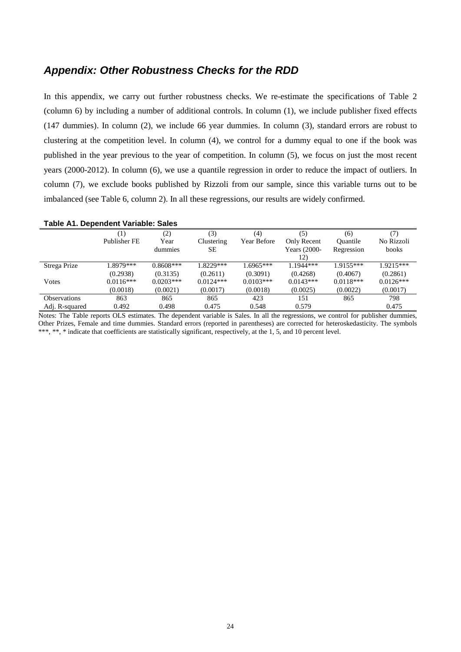## *Appendix: Other Robustness Checks for the RDD*

In this appendix, we carry out further robustness checks. We re-estimate the specifications of Table 2 (column 6) by including a number of additional controls. In column (1), we include publisher fixed effects (147 dummies). In column (2), we include 66 year dummies. In column (3), standard errors are robust to clustering at the competition level. In column (4), we control for a dummy equal to one if the book was published in the year previous to the year of competition. In column (5), we focus on just the most recent years (2000-2012). In column (6), we use a quantile regression in order to reduce the impact of outliers. In column (7), we exclude books published by Rizzoli from our sample, since this variable turns out to be imbalanced (see Table 6, column 2). In all these regressions, our results are widely confirmed.

| <b>Table A1. Dependent Variable: Sales</b> |              |             |             |             |              |                 |             |
|--------------------------------------------|--------------|-------------|-------------|-------------|--------------|-----------------|-------------|
|                                            | (1           | (2)         | (3)         | (4)         | (5)          | (6)             | (7)         |
|                                            | Publisher FE | Year        | Clustering  | Year Before | Only Recent  | <b>Ouantile</b> | No Rizzoli  |
|                                            |              | dummies     | SЕ          |             | Years (2000- | Regression      | books       |
|                                            |              |             |             |             | 12)          |                 |             |
| Strega Prize                               | 1.8979***    | $0.8608***$ | 1.8229***   | $1.6965***$ | 1.1944***    | $1.9155***$     | $1.9215***$ |
|                                            | (0.2938)     | (0.3135)    | (0.2611)    | (0.3091)    | (0.4268)     | (0.4067)        | (0.2861)    |
| Votes                                      | $0.0116***$  | $0.0203***$ | $0.0124***$ | $0.0103***$ | $0.0143***$  | $0.0118***$     | $0.0126***$ |
|                                            | (0.0018)     | (0.0021)    | (0.0017)    | (0.0018)    | (0.0025)     | (0.0022)        | (0.0017)    |
| <b>Observations</b>                        | 863          | 865         | 865         | 423         | 151          | 865             | 798         |
| Adj. R-squared                             | 0.492        | 0.498       | 0.475       | 0.548       | 0.579        |                 | 0.475       |

Notes: The Table reports OLS estimates. The dependent variable is Sales. In all the regressions, we control for publisher dummies, Other Prizes, Female and time dummies. Standard errors (reported in parentheses) are corrected for heteroskedasticity. The symbols \*\*\*, \*\*, \* indicate that coefficients are statistically significant, respectively, at the 1, 5, and 10 percent level.

24